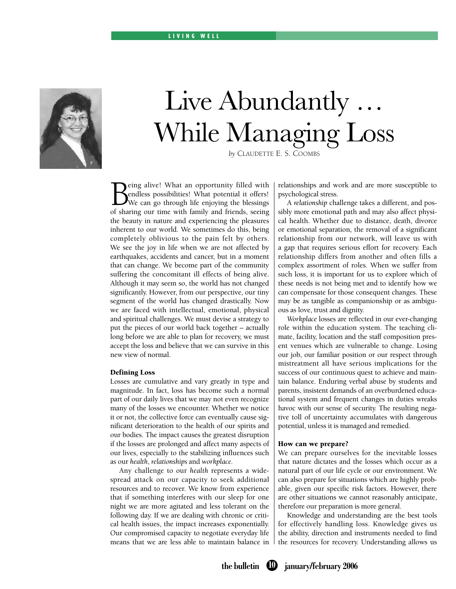## L I V I N G W E L L



# Live Abundantly … While Managing Loss

*by* CLAUDETTE E. S. COOMBS

**B**eing alive! What an opportunity filled with<br>Pendless possibilities! What potential it offers!<br>We can go through life enjoying the blessings<br>of sharing our time with family and friends, seeing eing alive! What an opportunity filled with endless possibilities! What potential it offers! We can go through life enjoying the blessings the beauty in nature and experiencing the pleasures inherent to our world. We sometimes do this, being completely oblivious to the pain felt by others. We see the joy in life when we are not affected by earthquakes, accidents and cancer, but in a moment that can change. We become part of the community suffering the concomitant ill effects of being alive. Although it may seem so, the world has not changed significantly. However, from our perspective, our tiny segment of the world has changed drastically. Now we are faced with intellectual, emotional, physical and spiritual challenges. We must devise a strategy to put the pieces of our world back together – actually long before we are able to plan for recovery, we must accept the loss and believe that we can survive in this new view of normal.

### Defining Loss

Losses are cumulative and vary greatly in type and magnitude. In fact, loss has become such a normal part of our daily lives that we may not even recognize many of the losses we encounter. Whether we notice it or not, the collective force can eventually cause significant deterioration to the health of our spirits and our bodies. The impact causes the greatest disruption if the losses are prolonged and affect many aspects of our lives, especially to the stabilizing influences such as our *health*, *relationships* and *workplace.*

 Any challenge to our *health* represents a widespread attack on our capacity to seek additional resources and to recover. We know from experience that if something interferes with our sleep for one night we are more agitated and less tolerant on the following day. If we are dealing with chronic or critical health issues, the impact increases exponentially. Our compromised capacity to negotiate everyday life means that we are less able to maintain balance in relationships and work and are more susceptible to psychological stress.

 A *relationship* challenge takes a different, and possibly more emotional path and may also affect physical health. Whether due to distance, death, divorce or emotional separation, the removal of a significant relationship from our network, will leave us with a gap that requires serious effort for recovery. Each relationship differs from another and often fills a complex assortment of roles. When we suffer from such loss, it is important for us to explore which of these needs is not being met and to identify how we can compensate for those consequent changes. These may be as tangible as companionship or as ambiguous as love, trust and dignity.

*Workplace* losses are reflected in our ever-changing role within the education system. The teaching climate, facility, location and the staff composition present venues which are vulnerable to change. Losing our job, our familiar position or our respect through mistreatment all have serious implications for the success of our continuous quest to achieve and maintain balance. Enduring verbal abuse by students and parents, insistent demands of an overburdened educational system and frequent changes in duties wreaks havoc with our sense of security. The resulting negative toll of uncertainty accumulates with dangerous potential, unless it is managed and remedied.

#### How can we prepare?

We can prepare ourselves for the inevitable losses that nature dictates and the losses which occur as a natural part of our life cycle or our environment. We can also prepare for situations which are highly probable, given our specific risk factors. However, there are other situations we cannot reasonably anticipate, therefore our preparation is more general.

 Knowledge and understanding are the best tools for effectively handling loss. Knowledge gives us the ability, direction and instruments needed to find the resources for recovery. Understanding allows us